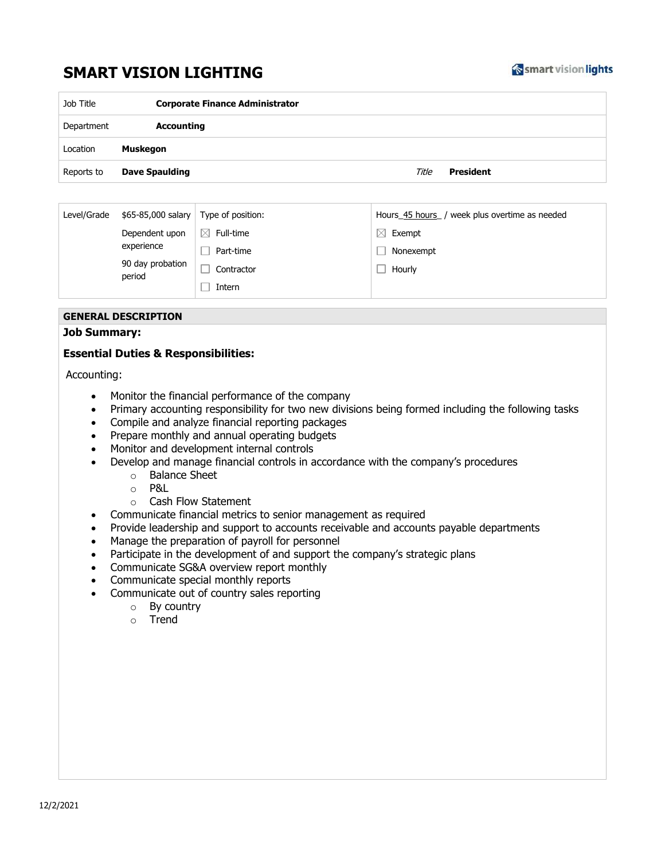## **SMART VISION LIGHTING**



| Job Title  | <b>Corporate Finance Administrator</b> |                    |  |
|------------|----------------------------------------|--------------------|--|
| Department | <b>Accounting</b>                      |                    |  |
| Location   | <b>Muskegon</b>                        |                    |  |
| Reports to | <b>Dave Spaulding</b>                  | Title<br>President |  |

| Level/Grade | \$65-85,000 salary                                         | Type of position:        | week plus overtime as needed<br>Hours_45 hours |  |
|-------------|------------------------------------------------------------|--------------------------|------------------------------------------------|--|
|             | Dependent upon<br>experience<br>90 day probation<br>period | Full-time<br>$\boxtimes$ | Exempt                                         |  |
|             |                                                            | Part-time                | Nonexempt                                      |  |
|             |                                                            | Contractor               | Hourly                                         |  |
|             |                                                            | Intern                   |                                                |  |

## **GENERAL DESCRIPTION**

## **Job Summary:**

## **Essential Duties & Responsibilities:**

Accounting:

- Monitor the financial performance of the company
- Primary accounting responsibility for two new divisions being formed including the following tasks
- Compile and analyze financial reporting packages
- Prepare monthly and annual operating budgets
- Monitor and development internal controls
- Develop and manage financial controls in accordance with the company's procedures
	- o Balance Sheet
	- $\circ$  P&L
	- o Cash Flow Statement
- Communicate financial metrics to senior management as required
- Provide leadership and support to accounts receivable and accounts payable departments
- Manage the preparation of payroll for personnel
- Participate in the development of and support the company's strategic plans
- Communicate SG&A overview report monthly
- Communicate special monthly reports
- Communicate out of country sales reporting
	- o By country
	- o Trend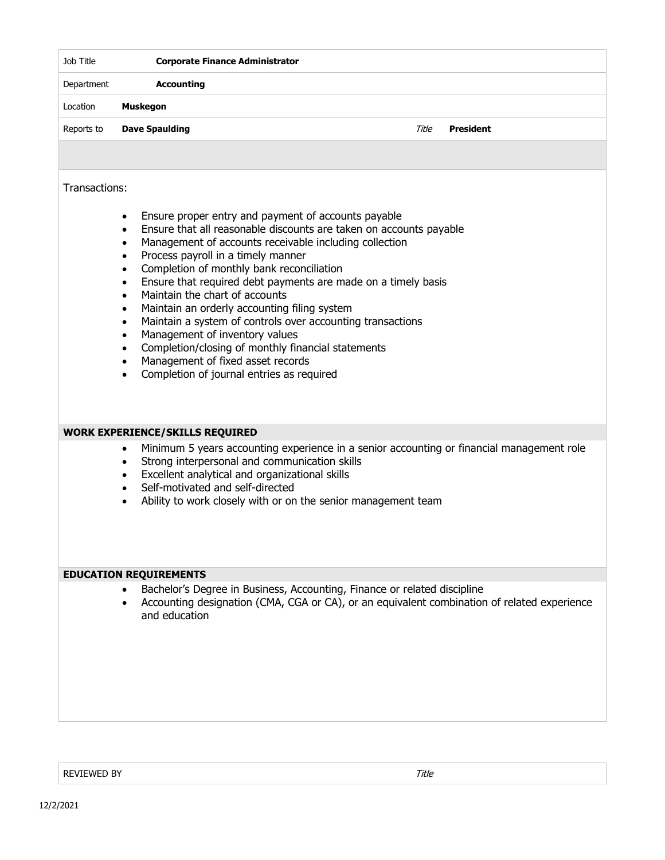| Department    | <b>Accounting</b>                                                                                                                                                                                                                                                                                                                                          |       |                  |  |  |
|---------------|------------------------------------------------------------------------------------------------------------------------------------------------------------------------------------------------------------------------------------------------------------------------------------------------------------------------------------------------------------|-------|------------------|--|--|
| Location      | <b>Muskegon</b>                                                                                                                                                                                                                                                                                                                                            |       |                  |  |  |
| Reports to    | <b>Dave Spaulding</b>                                                                                                                                                                                                                                                                                                                                      | Title | <b>President</b> |  |  |
|               |                                                                                                                                                                                                                                                                                                                                                            |       |                  |  |  |
| Transactions: |                                                                                                                                                                                                                                                                                                                                                            |       |                  |  |  |
|               | Ensure proper entry and payment of accounts payable<br>٠<br>Ensure that all reasonable discounts are taken on accounts payable<br>$\bullet$<br>Management of accounts receivable including collection<br>٠<br>Process payroll in a timely manner<br>$\bullet$<br>Completion of monthly bank reconciliation<br>$\bullet$                                    |       |                  |  |  |
|               | Ensure that required debt payments are made on a timely basis<br>$\bullet$<br>Maintain the chart of accounts<br>$\bullet$<br>Maintain an orderly accounting filing system<br>$\bullet$<br>Maintain a system of controls over accounting transactions<br>$\bullet$                                                                                          |       |                  |  |  |
|               | Management of inventory values<br>$\bullet$<br>Completion/closing of monthly financial statements<br>$\bullet$<br>Management of fixed asset records<br>$\bullet$<br>Completion of journal entries as required<br>$\bullet$                                                                                                                                 |       |                  |  |  |
|               |                                                                                                                                                                                                                                                                                                                                                            |       |                  |  |  |
|               | <b>WORK EXPERIENCE/SKILLS REQUIRED</b>                                                                                                                                                                                                                                                                                                                     |       |                  |  |  |
|               | Minimum 5 years accounting experience in a senior accounting or financial management role<br>٠<br>Strong interpersonal and communication skills<br>$\bullet$<br>Excellent analytical and organizational skills<br>$\bullet$<br>Self-motivated and self-directed<br>$\bullet$<br>Ability to work closely with or on the senior management team<br>$\bullet$ |       |                  |  |  |
|               |                                                                                                                                                                                                                                                                                                                                                            |       |                  |  |  |
|               | <b>EDUCATION REQUIREMENTS</b>                                                                                                                                                                                                                                                                                                                              |       |                  |  |  |
|               | Bachelor's Degree in Business, Accounting, Finance or related discipline<br>Accounting designation (CMA, CGA or CA), or an equivalent combination of related experience<br>$\bullet$<br>and education                                                                                                                                                      |       |                  |  |  |
|               |                                                                                                                                                                                                                                                                                                                                                            |       |                  |  |  |
|               |                                                                                                                                                                                                                                                                                                                                                            |       |                  |  |  |

REVIEWED BY Title